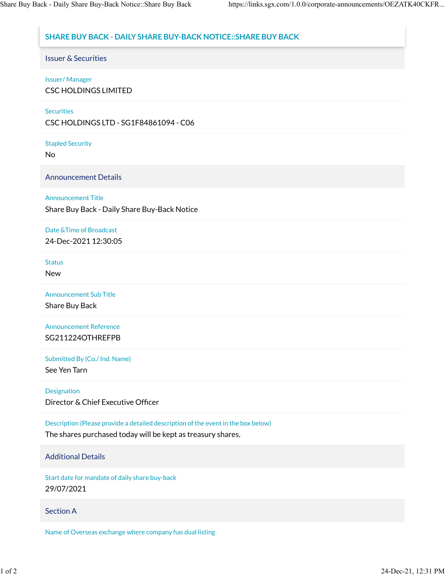# **SHARE BUY BACK - DAILY SHARE BUY-BACK NOTICE::SHARE BUY BACK**

Issuer & Securities

## Issuer/ Manager

CSC HOLDINGS LIMITED

### **Securities**

CSC HOLDINGS LTD - SG1F84861094 - C06

Stapled Security

No

Announcement Details

## Announcement Title

Share Buy Back - Daily Share Buy-Back Notice

# Date &Time of Broadcast

24-Dec-2021 12:30:05

#### **Status**

New

Announcement Sub Title

Share Buy Back

Announcement Reference SG211224OTHREFPB

Submitted By (Co./ Ind. Name)

See Yen Tarn

### Designation

Director & Chief Executive Officer

Description (Please provide a detailed description of the event in the box below)

The shares purchased today will be kept as treasury shares.

# Additional Details

Start date for mandate of daily share buy-back 29/07/2021

# Section A

Name of Overseas exchange where company has dual listing